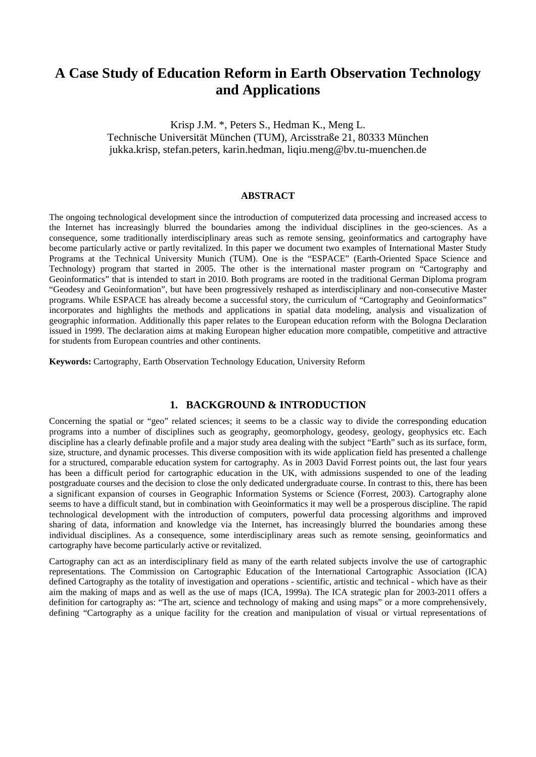# **A Case Study of Education Reform in Earth Observation Technology and Applications**

Krisp J.M. \*, Peters S., Hedman K., Meng L. Technische Universität München (TUM), Arcisstraße 21, 80333 München jukka.krisp, stefan.peters, karin.hedman, liqiu.meng@bv.tu-muenchen.de

## **ABSTRACT**

The ongoing technological development since the introduction of computerized data processing and increased access to the Internet has increasingly blurred the boundaries among the individual disciplines in the geo-sciences. As a consequence, some traditionally interdisciplinary areas such as remote sensing, geoinformatics and cartography have become particularly active or partly revitalized. In this paper we document two examples of International Master Study Programs at the Technical University Munich (TUM). One is the "ESPACE" (Earth-Oriented Space Science and Technology) program that started in 2005. The other is the international master program on "Cartography and Geoinformatics" that is intended to start in 2010. Both programs are rooted in the traditional German Diploma program "Geodesy and Geoinformation", but have been progressively reshaped as interdisciplinary and non-consecutive Master programs. While ESPACE has already become a successful story, the curriculum of "Cartography and Geoinformatics" incorporates and highlights the methods and applications in spatial data modeling, analysis and visualization of geographic information. Additionally this paper relates to the European education reform with the Bologna Declaration issued in 1999. The declaration aims at making European higher education more compatible, competitive and attractive for students from European countries and other continents.

**Keywords:** Cartography, Earth Observation Technology Education, University Reform

### **1. BACKGROUND & INTRODUCTION**

Concerning the spatial or "geo" related sciences; it seems to be a classic way to divide the corresponding education programs into a number of disciplines such as geography, geomorphology, geodesy, geology, geophysics etc. Each discipline has a clearly definable profile and a major study area dealing with the subject "Earth" such as its surface, form, size, structure, and dynamic processes. This diverse composition with its wide application field has presented a challenge for a structured, comparable education system for cartography. As in 2003 David Forrest points out, the last four years has been a difficult period for cartographic education in the UK, with admissions suspended to one of the leading postgraduate courses and the decision to close the only dedicated undergraduate course. In contrast to this, there has been a significant expansion of courses in Geographic Information Systems or Science (Forrest, 2003). Cartography alone seems to have a difficult stand, but in combination with Geoinformatics it may well be a prosperous discipline. The rapid technological development with the introduction of computers, powerful data processing algorithms and improved sharing of data, information and knowledge via the Internet, has increasingly blurred the boundaries among these individual disciplines. As a consequence, some interdisciplinary areas such as remote sensing, geoinformatics and cartography have become particularly active or revitalized.

Cartography can act as an interdisciplinary field as many of the earth related subjects involve the use of cartographic representations. The Commission on Cartographic Education of the International Cartographic Association (ICA) defined Cartography as the totality of investigation and operations - scientific, artistic and technical - which have as their aim the making of maps and as well as the use of maps (ICA, 1999a). The ICA strategic plan for 2003-2011 offers a definition for cartography as: "The art, science and technology of making and using maps" or a more comprehensively, defining "Cartography as a unique facility for the creation and manipulation of visual or virtual representations of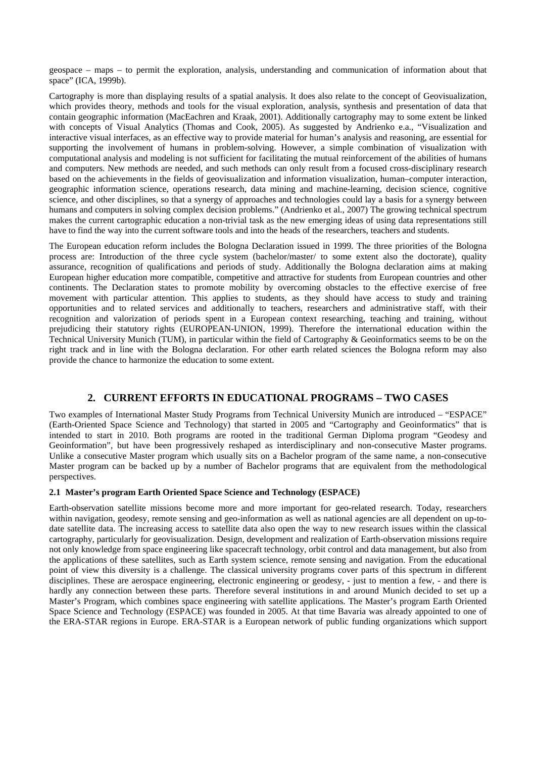geospace – maps – to permit the exploration, analysis, understanding and communication of information about that space" (ICA, 1999b).

Cartography is more than displaying results of a spatial analysis. It does also relate to the concept of Geovisualization, which provides theory, methods and tools for the visual exploration, analysis, synthesis and presentation of data that contain geographic information (MacEachren and Kraak, 2001). Additionally cartography may to some extent be linked with concepts of Visual Analytics (Thomas and Cook, 2005). As suggested by Andrienko e.a., "Visualization and interactive visual interfaces, as an effective way to provide material for human's analysis and reasoning, are essential for supporting the involvement of humans in problem-solving. However, a simple combination of visualization with computational analysis and modeling is not sufficient for facilitating the mutual reinforcement of the abilities of humans and computers. New methods are needed, and such methods can only result from a focused cross-disciplinary research based on the achievements in the fields of geovisualization and information visualization, human–computer interaction, geographic information science, operations research, data mining and machine-learning, decision science, cognitive science, and other disciplines, so that a synergy of approaches and technologies could lay a basis for a synergy between humans and computers in solving complex decision problems." (Andrienko et al., 2007) The growing technical spectrum makes the current cartographic education a non-trivial task as the new emerging ideas of using data representations still have to find the way into the current software tools and into the heads of the researchers, teachers and students.

The European education reform includes the Bologna Declaration issued in 1999. The three priorities of the Bologna process are: Introduction of the three cycle system (bachelor/master/ to some extent also the doctorate), quality assurance, recognition of qualifications and periods of study. Additionally the Bologna declaration aims at making European higher education more compatible, competitive and attractive for students from European countries and other continents. The Declaration states to promote mobility by overcoming obstacles to the effective exercise of free movement with particular attention. This applies to students, as they should have access to study and training opportunities and to related services and additionally to teachers, researchers and administrative staff, with their recognition and valorization of periods spent in a European context researching, teaching and training, without prejudicing their statutory rights (EUROPEAN-UNION, 1999). Therefore the international education within the Technical University Munich (TUM), in particular within the field of Cartography & Geoinformatics seems to be on the right track and in line with the Bologna declaration. For other earth related sciences the Bologna reform may also provide the chance to harmonize the education to some extent.

## **2. CURRENT EFFORTS IN EDUCATIONAL PROGRAMS – TWO CASES**

Two examples of International Master Study Programs from Technical University Munich are introduced – "ESPACE" (Earth-Oriented Space Science and Technology) that started in 2005 and "Cartography and Geoinformatics" that is intended to start in 2010. Both programs are rooted in the traditional German Diploma program "Geodesy and Geoinformation", but have been progressively reshaped as interdisciplinary and non-consecutive Master programs. Unlike a consecutive Master program which usually sits on a Bachelor program of the same name, a non-consecutive Master program can be backed up by a number of Bachelor programs that are equivalent from the methodological perspectives.

#### **2.1 Master's program Earth Oriented Space Science and Technology (ESPACE)**

Earth-observation satellite missions become more and more important for geo-related research. Today, researchers within navigation, geodesy, remote sensing and geo-information as well as national agencies are all dependent on up-todate satellite data. The increasing access to satellite data also open the way to new research issues within the classical cartography, particularly for geovisualization. Design, development and realization of Earth-observation missions require not only knowledge from space engineering like spacecraft technology, orbit control and data management, but also from the applications of these satellites, such as Earth system science, remote sensing and navigation. From the educational point of view this diversity is a challenge. The classical university programs cover parts of this spectrum in different disciplines. These are aerospace engineering, electronic engineering or geodesy, - just to mention a few, - and there is hardly any connection between these parts. Therefore several institutions in and around Munich decided to set up a Master's Program, which combines space engineering with satellite applications. The Master's program Earth Oriented Space Science and Technology (ESPACE) was founded in 2005. At that time Bavaria was already appointed to one of the ERA-STAR regions in Europe. ERA-STAR is a European network of public funding organizations which support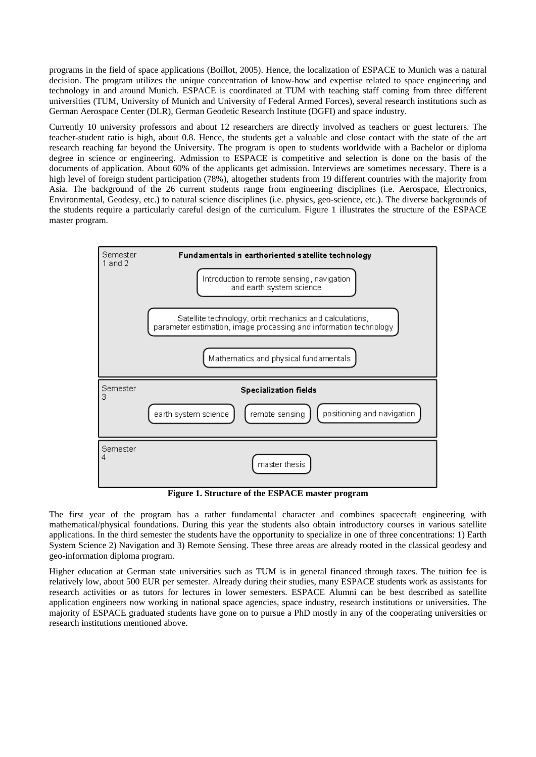programs in the field of space applications (Boillot, 2005). Hence, the localization of ESPACE to Munich was a natural decision. The program utilizes the unique concentration of know-how and expertise related to space engineering and technology in and around Munich. ESPACE is coordinated at TUM with teaching staff coming from three different universities (TUM, University of Munich and University of Federal Armed Forces), several research institutions such as German Aerospace Center (DLR), German Geodetic Research Institute (DGFI) and space industry.

Currently 10 university professors and about 12 researchers are directly involved as teachers or guest lecturers. The teacher-student ratio is high, about 0.8. Hence, the students get a valuable and close contact with the state of the art research reaching far beyond the University. The program is open to students worldwide with a Bachelor or diploma degree in science or engineering. Admission to ESPACE is competitive and selection is done on the basis of the documents of application. About 60% of the applicants get admission. Interviews are sometimes necessary. There is a high level of foreign student participation (78%), altogether students from 19 different countries with the majority from Asia. The background of the 26 current students range from engineering disciplines (i.e. Aerospace, Electronics, Environmental, Geodesy, etc.) to natural science disciplines (i.e. physics, geo-science, etc.). The diverse backgrounds of the students require a particularly careful design of the curriculum. Figure 1 illustrates the structure of the ESPACE master program.



**Figure 1. Structure of the ESPACE master program** 

The first year of the program has a rather fundamental character and combines spacecraft engineering with mathematical/physical foundations. During this year the students also obtain introductory courses in various satellite applications. In the third semester the students have the opportunity to specialize in one of three concentrations: 1) Earth System Science 2) Navigation and 3) Remote Sensing. These three areas are already rooted in the classical geodesy and geo-information diploma program.

Higher education at German state universities such as TUM is in general financed through taxes. The tuition fee is relatively low, about 500 EUR per semester. Already during their studies, many ESPACE students work as assistants for research activities or as tutors for lectures in lower semesters. ESPACE Alumni can be best described as satellite application engineers now working in national space agencies, space industry, research institutions or universities. The majority of ESPACE graduated students have gone on to pursue a PhD mostly in any of the cooperating universities or research institutions mentioned above.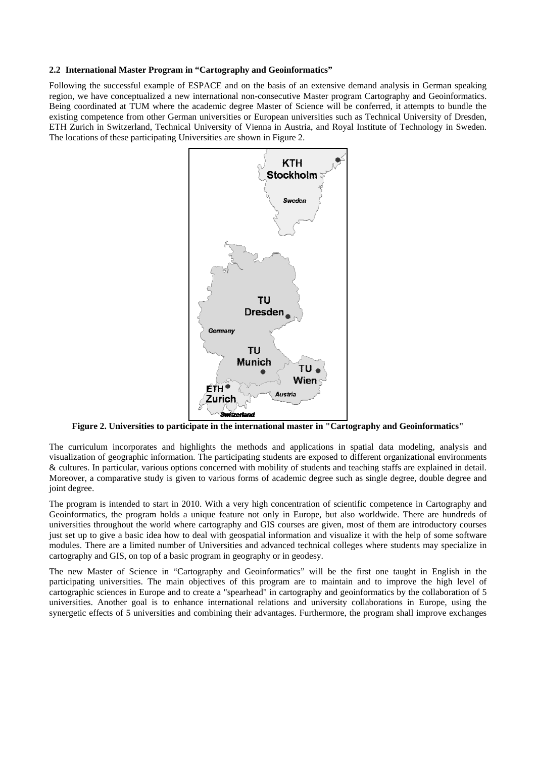#### **2.2 International Master Program in "Cartography and Geoinformatics"**

Following the successful example of ESPACE and on the basis of an extensive demand analysis in German speaking region, we have conceptualized a new international non-consecutive Master program Cartography and Geoinformatics. Being coordinated at TUM where the academic degree Master of Science will be conferred, it attempts to bundle the existing competence from other German universities or European universities such as Technical University of Dresden, ETH Zurich in Switzerland, Technical University of Vienna in Austria, and Royal Institute of Technology in Sweden. The locations of these participating Universities are shown in Figure 2.



**Figure 2. Universities to participate in the international master in "Cartography and Geoinformatics"** 

The curriculum incorporates and highlights the methods and applications in spatial data modeling, analysis and visualization of geographic information. The participating students are exposed to different organizational environments & cultures. In particular, various options concerned with mobility of students and teaching staffs are explained in detail. Moreover, a comparative study is given to various forms of academic degree such as single degree, double degree and joint degree.

The program is intended to start in 2010. With a very high concentration of scientific competence in Cartography and Geoinformatics, the program holds a unique feature not only in Europe, but also worldwide. There are hundreds of universities throughout the world where cartography and GIS courses are given, most of them are introductory courses just set up to give a basic idea how to deal with geospatial information and visualize it with the help of some software modules. There are a limited number of Universities and advanced technical colleges where students may specialize in cartography and GIS, on top of a basic program in geography or in geodesy.

The new Master of Science in "Cartography and Geoinformatics" will be the first one taught in English in the participating universities. The main objectives of this program are to maintain and to improve the high level of cartographic sciences in Europe and to create a "spearhead" in cartography and geoinformatics by the collaboration of 5 universities. Another goal is to enhance international relations and university collaborations in Europe, using the synergetic effects of 5 universities and combining their advantages. Furthermore, the program shall improve exchanges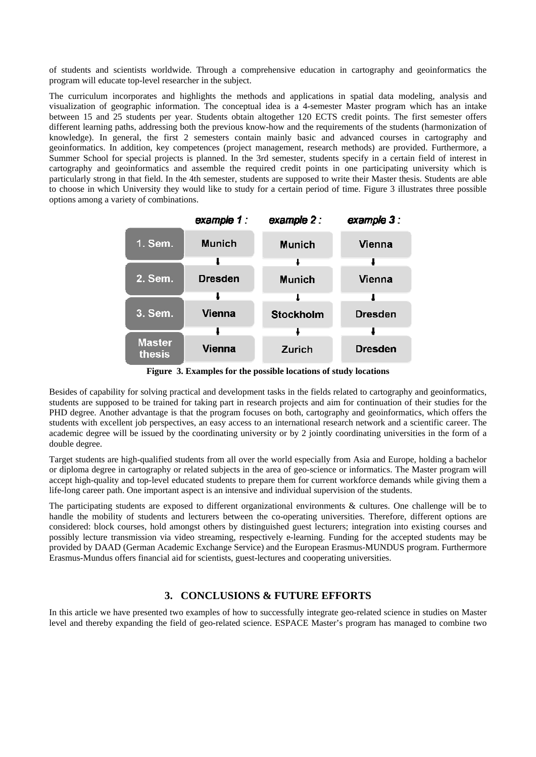of students and scientists worldwide. Through a comprehensive education in cartography and geoinformatics the program will educate top-level researcher in the subject.

The curriculum incorporates and highlights the methods and applications in spatial data modeling, analysis and visualization of geographic information. The conceptual idea is a 4-semester Master program which has an intake between 15 and 25 students per year. Students obtain altogether 120 ECTS credit points. The first semester offers different learning paths, addressing both the previous know-how and the requirements of the students (harmonization of knowledge). In general, the first 2 semesters contain mainly basic and advanced courses in cartography and geoinformatics. In addition, key competences (project management, research methods) are provided. Furthermore, a Summer School for special projects is planned. In the 3rd semester, students specify in a certain field of interest in cartography and geoinformatics and assemble the required credit points in one participating university which is particularly strong in that field. In the 4th semester, students are supposed to write their Master thesis. Students are able to choose in which University they would like to study for a certain period of time. Figure 3 illustrates three possible options among a variety of combinations.

|                         | example 1:     | example 2:    | example $3:$   |
|-------------------------|----------------|---------------|----------------|
| 1. Sem.                 | <b>Munich</b>  | <b>Munich</b> | Vienna         |
|                         |                |               |                |
| 2. Sem.                 | <b>Dresden</b> | <b>Munich</b> | Vienna         |
|                         |                |               |                |
| 3. Sem.                 | Vienna         | Stockholm     | <b>Dresden</b> |
|                         |                |               |                |
| <b>Master</b><br>thesis | <b>Vienna</b>  | Zurich        | <b>Dresden</b> |

**Figure 3. Examples for the possible locations of study locations** 

Besides of capability for solving practical and development tasks in the fields related to cartography and geoinformatics, students are supposed to be trained for taking part in research projects and aim for continuation of their studies for the PHD degree. Another advantage is that the program focuses on both, cartography and geoinformatics, which offers the students with excellent job perspectives, an easy access to an international research network and a scientific career. The academic degree will be issued by the coordinating university or by 2 jointly coordinating universities in the form of a double degree.

Target students are high-qualified students from all over the world especially from Asia and Europe, holding a bachelor or diploma degree in cartography or related subjects in the area of geo-science or informatics. The Master program will accept high-quality and top-level educated students to prepare them for current workforce demands while giving them a life-long career path. One important aspect is an intensive and individual supervision of the students.

The participating students are exposed to different organizational environments & cultures. One challenge will be to handle the mobility of students and lecturers between the co-operating universities. Therefore, different options are considered: block courses, hold amongst others by distinguished guest lecturers; integration into existing courses and possibly lecture transmission via video streaming, respectively e-learning. Funding for the accepted students may be provided by DAAD (German Academic Exchange Service) and the European Erasmus-MUNDUS program. Furthermore Erasmus-Mundus offers financial aid for scientists, guest-lectures and cooperating universities.

# **3. CONCLUSIONS & FUTURE EFFORTS**

In this article we have presented two examples of how to successfully integrate geo-related science in studies on Master level and thereby expanding the field of geo-related science. ESPACE Master's program has managed to combine two